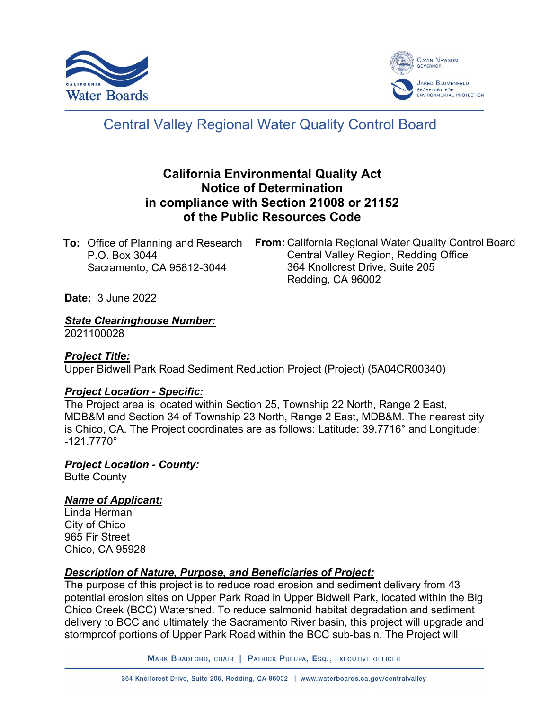



# Central Valley Regional Water Quality Control Board

# **California Environmental Quality Act Notice of Determination in compliance with Section 21008 or 21152 of the Public Resources Code**

**To:** Office of Planning and Research P.O. Box 3044 Sacramento, CA 95812-3044

**From:** California Regional Water Quality Control Board Central Valley Region, Redding Office 364 Knollcrest Drive, Suite 205 Redding, CA 96002

**Date:** 3 June 2022

*State Clearinghouse Number:*

2021100028

#### *Project Title:*

Upper Bidwell Park Road Sediment Reduction Project (Project) (5A04CR00340)

#### *Project Location - Specific:*

The Project area is located within Section 25, Township 22 North, Range 2 East, MDB&M and Section 34 of Township 23 North, Range 2 East, MDB&M. The nearest city is Chico, CA. The Project coordinates are as follows: Latitude: 39.7716° and Longitude:  $-121.7770^{\circ}$ 

#### *Project Location - County:*

Butte County

## *Name of Applicant:*

Linda Herman City of Chico 965 Fir Street Chico, CA 95928

## *Description of Nature, Purpose, and Beneficiaries of Project:*

The purpose of this project is to reduce road erosion and sediment delivery from 43 potential erosion sites on Upper Park Road in Upper Bidwell Park, located within the Big Chico Creek (BCC) Watershed. To reduce salmonid habitat degradation and sediment delivery to BCC and ultimately the Sacramento River basin, this project will upgrade and stormproof portions of Upper Park Road within the BCC sub-basin. The Project will

MARK BRADFORD, CHAIR | PATRICK PULUPA, ESQ., EXECUTIVE OFFICER